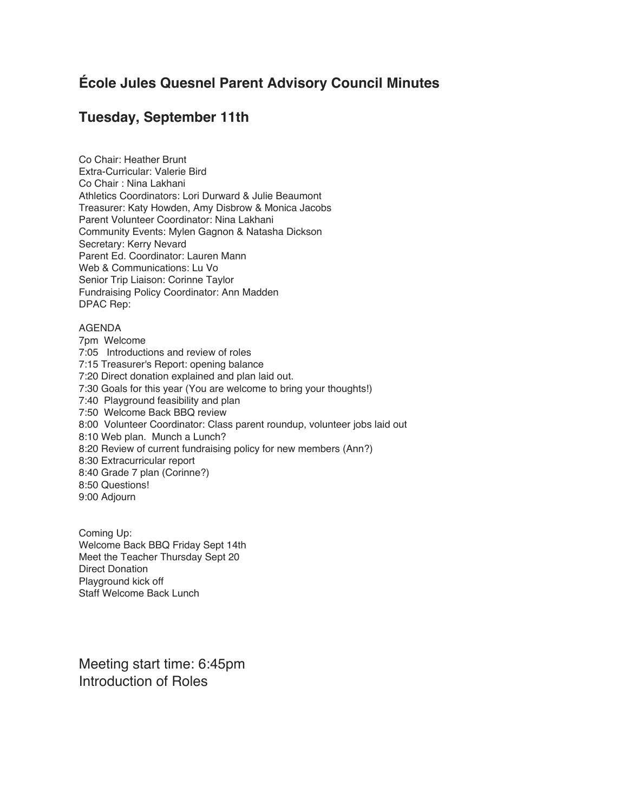# **École Jules Quesnel Parent Advisory Council Minutes**

#### **Tuesday, September 11th**

Co Chair: Heather Brunt Extra-Curricular: Valerie Bird Co Chair : Nina Lakhani Athletics Coordinators: Lori Durward & Julie Beaumont Treasurer: Katy Howden, Amy Disbrow & Monica Jacobs Parent Volunteer Coordinator: Nina Lakhani Community Events: Mylen Gagnon & Natasha Dickson Secretary: Kerry Nevard Parent Ed. Coordinator: Lauren Mann Web & Communications: Lu Vo Senior Trip Liaison: Corinne Taylor Fundraising Policy Coordinator: Ann Madden DPAC Rep:

#### AGENDA

7pm Welcome 7:05 Introductions and review of roles 7:15 Treasurer's Report: opening balance 7:20 Direct donation explained and plan laid out. 7:30 Goals for this year (You are welcome to bring your thoughts!) 7:40 Playground feasibility and plan 7:50 Welcome Back BBQ review 8:00 Volunteer Coordinator: Class parent roundup, volunteer jobs laid out 8:10 Web plan. Munch a Lunch? 8:20 Review of current fundraising policy for new members (Ann?) 8:30 Extracurricular report 8:40 Grade 7 plan (Corinne?) 8:50 Questions! 9:00 Adjourn

Coming Up: Welcome Back BBQ Friday Sept 14th Meet the Teacher Thursday Sept 20 Direct Donation Playground kick off Staff Welcome Back Lunch

Meeting start time: 6:45pm Introduction of Roles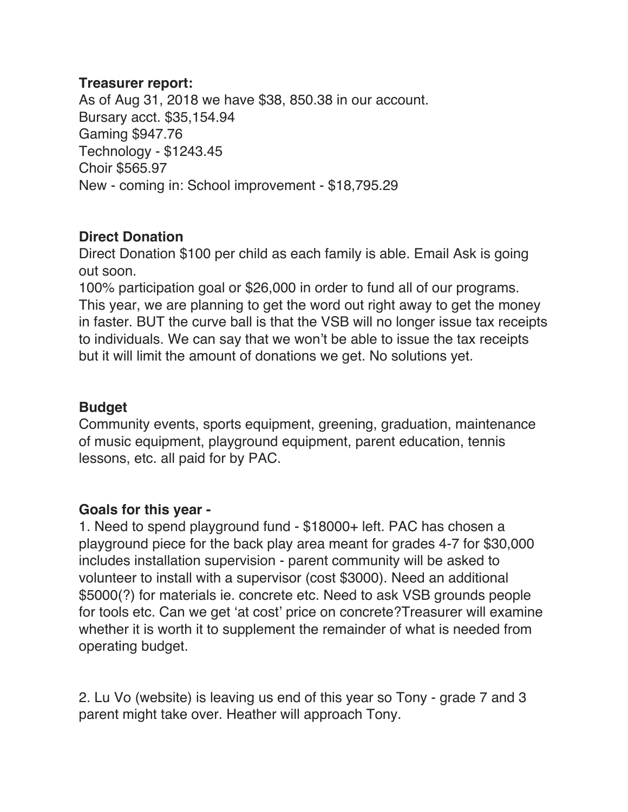#### **Treasurer report:**

As of Aug 31, 2018 we have \$38, 850.38 in our account. Bursary acct. \$35,154.94 Gaming \$947.76 Technology - \$1243.45 Choir \$565.97 New - coming in: School improvement - \$18,795.29

# **Direct Donation**

Direct Donation \$100 per child as each family is able. Email Ask is going out soon.

100% participation goal or \$26,000 in order to fund all of our programs. This year, we are planning to get the word out right away to get the money in faster. BUT the curve ball is that the VSB will no longer issue tax receipts to individuals. We can say that we won't be able to issue the tax receipts but it will limit the amount of donations we get. No solutions yet.

# **Budget**

Community events, sports equipment, greening, graduation, maintenance of music equipment, playground equipment, parent education, tennis lessons, etc. all paid for by PAC.

# **Goals for this year -**

1. Need to spend playground fund - \$18000+ left. PAC has chosen a playground piece for the back play area meant for grades 4-7 for \$30,000 includes installation supervision - parent community will be asked to volunteer to install with a supervisor (cost \$3000). Need an additional \$5000(?) for materials ie. concrete etc. Need to ask VSB grounds people for tools etc. Can we get 'at cost' price on concrete?Treasurer will examine whether it is worth it to supplement the remainder of what is needed from operating budget.

2. Lu Vo (website) is leaving us end of this year so Tony - grade 7 and 3 parent might take over. Heather will approach Tony.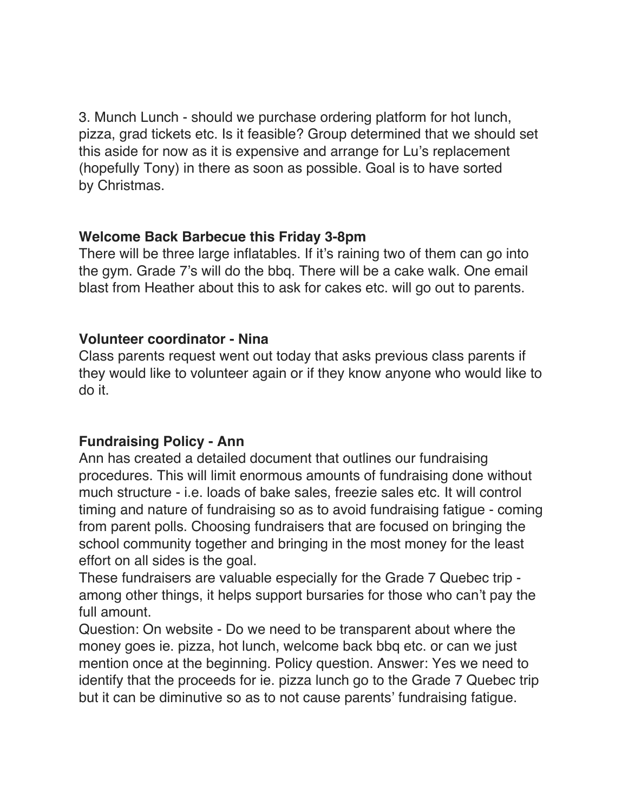3. Munch Lunch - should we purchase ordering platform for hot lunch, pizza, grad tickets etc. Is it feasible? Group determined that we should set this aside for now as it is expensive and arrange for Lu's replacement (hopefully Tony) in there as soon as possible. Goal is to have sorted by Christmas.

# **Welcome Back Barbecue this Friday 3-8pm**

There will be three large inflatables. If it's raining two of them can go into the gym. Grade 7's will do the bbq. There will be a cake walk. One email blast from Heather about this to ask for cakes etc. will go out to parents.

# **Volunteer coordinator - Nina**

Class parents request went out today that asks previous class parents if they would like to volunteer again or if they know anyone who would like to do it.

# **Fundraising Policy - Ann**

Ann has created a detailed document that outlines our fundraising procedures. This will limit enormous amounts of fundraising done without much structure - i.e. loads of bake sales, freezie sales etc. It will control timing and nature of fundraising so as to avoid fundraising fatigue - coming from parent polls. Choosing fundraisers that are focused on bringing the school community together and bringing in the most money for the least effort on all sides is the goal.

These fundraisers are valuable especially for the Grade 7 Quebec trip among other things, it helps support bursaries for those who can't pay the full amount.

Question: On website - Do we need to be transparent about where the money goes ie. pizza, hot lunch, welcome back bbq etc. or can we just mention once at the beginning. Policy question. Answer: Yes we need to identify that the proceeds for ie. pizza lunch go to the Grade 7 Quebec trip but it can be diminutive so as to not cause parents' fundraising fatigue.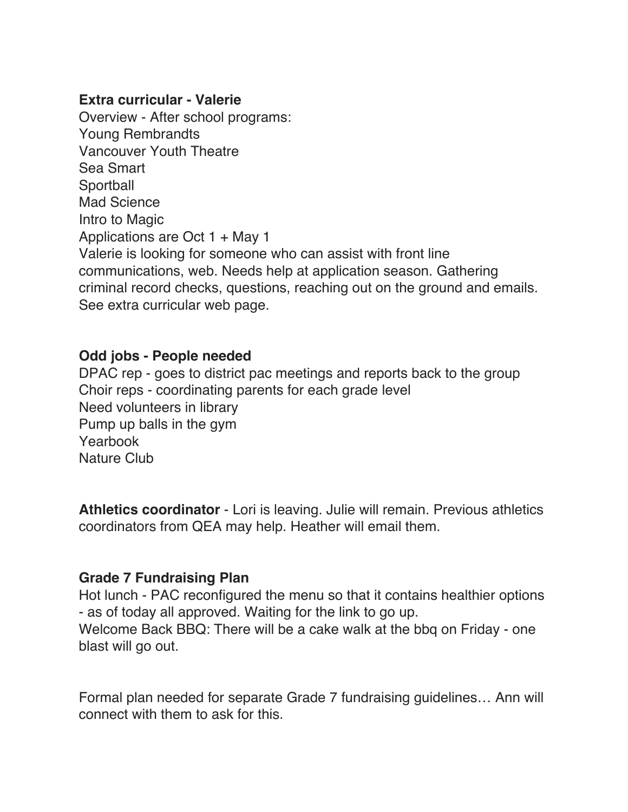#### **Extra curricular - Valerie**

Overview - After school programs: Young Rembrandts Vancouver Youth Theatre Sea Smart **Sportball** Mad Science Intro to Magic Applications are Oct 1 + May 1 Valerie is looking for someone who can assist with front line communications, web. Needs help at application season. Gathering criminal record checks, questions, reaching out on the ground and emails. See extra curricular web page.

#### **Odd jobs - People needed**

DPAC rep - goes to district pac meetings and reports back to the group Choir reps - coordinating parents for each grade level Need volunteers in library Pump up balls in the gym Yearbook Nature Club

**Athletics coordinator** - Lori is leaving. Julie will remain. Previous athletics coordinators from QEA may help. Heather will email them.

#### **Grade 7 Fundraising Plan**

Hot lunch - PAC reconfigured the menu so that it contains healthier options - as of today all approved. Waiting for the link to go up. Welcome Back BBQ: There will be a cake walk at the bbq on Friday - one blast will go out.

Formal plan needed for separate Grade 7 fundraising guidelines… Ann will connect with them to ask for this.